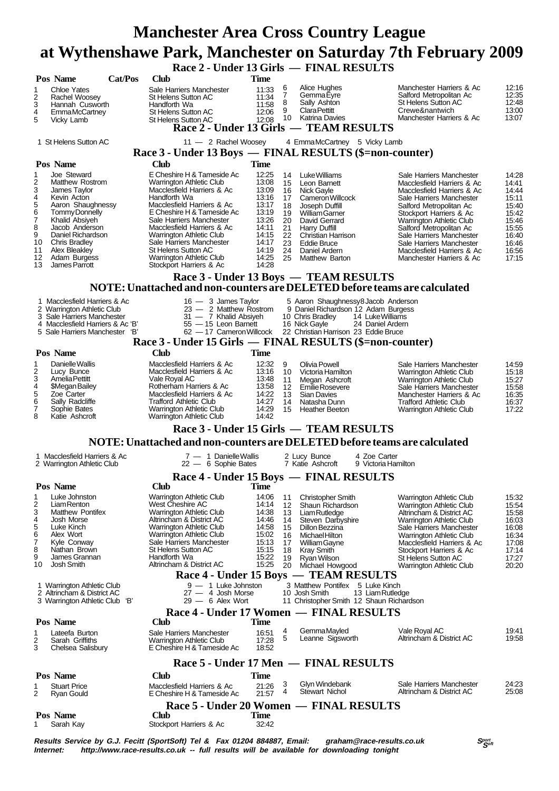# **Manchester Area Cross Country League at Wythenshawe Park, Manchester on Saturday 7th February 2009**

 **Race 2 - Under 13 Girls — FINAL RESULTS**

|                                                                                                                                                                                                                                                                                                                               | Pos Name                                                                                                                                                                                                                                              | Cat/Pos | $\frac{1}{2}$ - Under 13 GHTs $\frac{1}{2}$ FINAL RESULTS<br>Club                                                                                                                                                                                                                                                                                                       | <b>Time</b>                                                                                                       |                                                          |                                                                                                                                                                                                                               |                                      |                                                                                                                                                                                                                                                                                                                                                 |                                                                                                          |  |  |
|-------------------------------------------------------------------------------------------------------------------------------------------------------------------------------------------------------------------------------------------------------------------------------------------------------------------------------|-------------------------------------------------------------------------------------------------------------------------------------------------------------------------------------------------------------------------------------------------------|---------|-------------------------------------------------------------------------------------------------------------------------------------------------------------------------------------------------------------------------------------------------------------------------------------------------------------------------------------------------------------------------|-------------------------------------------------------------------------------------------------------------------|----------------------------------------------------------|-------------------------------------------------------------------------------------------------------------------------------------------------------------------------------------------------------------------------------|--------------------------------------|-------------------------------------------------------------------------------------------------------------------------------------------------------------------------------------------------------------------------------------------------------------------------------------------------------------------------------------------------|----------------------------------------------------------------------------------------------------------|--|--|
| 1<br>2<br>3<br>4<br>5                                                                                                                                                                                                                                                                                                         | <b>Chloe Yates</b><br>Rachel Woosey<br>Hannah Cusworth<br><b>EmmaMcCartney</b><br>Vicky Lamb                                                                                                                                                          |         | Sale Harriers Manchester<br>St Helens Sutton AC<br>Handforth Wa<br>St Helens Sutton AC<br>St Helens Sutton AC<br>Race 2 - Under 13 Girls — TEAM RESULTS                                                                                                                                                                                                                 | 11:33<br>11:34<br>11:58<br>12:06<br>12:08                                                                         | 6<br>7<br>8<br>9                                         | Alice Hughes<br>GemmaEyre<br>Sally Ashton<br><b>Clara Pettitt</b><br>10 Katrina Davies                                                                                                                                        |                                      | Manchester Harriers & Ac<br>Salford Metropolitan Ac<br>St Helens Sutton AC<br>Crewe&nantwich<br>Manchester Harriers & Ac                                                                                                                                                                                                                        | 12:16<br>12:35<br>12:48<br>13:00<br>13:07                                                                |  |  |
|                                                                                                                                                                                                                                                                                                                               | 1 St Helens Sutton AC                                                                                                                                                                                                                                 |         | 11 - 2 Rachel Woosey                                                                                                                                                                                                                                                                                                                                                    |                                                                                                                   |                                                          | 4 EmmaMcCartney 5 Vicky Lamb                                                                                                                                                                                                  |                                      |                                                                                                                                                                                                                                                                                                                                                 |                                                                                                          |  |  |
|                                                                                                                                                                                                                                                                                                                               | Pos Name                                                                                                                                                                                                                                              |         | Race 3 - Under 13 Boys — FINAL RESULTS (\$=non-counter)<br>Club                                                                                                                                                                                                                                                                                                         | Time                                                                                                              |                                                          |                                                                                                                                                                                                                               |                                      |                                                                                                                                                                                                                                                                                                                                                 |                                                                                                          |  |  |
| 1<br>2<br>3<br>4<br>5<br>6<br>7<br>8<br>9<br>10<br>11<br>12<br>13                                                                                                                                                                                                                                                             | Joe Steward<br><b>Matthew Rostrom</b><br>James Taylor<br>Kevin Acton<br>Aaron Shaughnessy<br><b>Tommy Donnelly</b><br>Khalid Absiyeh<br>Jacob Anderson<br>Daniel Richardson<br><b>Chris Bradley</b><br>Alex Bleakley<br>Adam Burgess<br>James Parrott |         | E Cheshire H & Tameside Ac<br>Warrington Athletic Club<br>Macclesfield Harriers & Ac<br>Handforth Wa<br>Macclesfield Harriers & Ac<br>E Cheshire H & Tameside Ac<br>Sale Harriers Manchester<br>Macclesfield Harriers & Ac<br>Warrington Athletic Club<br>Sale Harriers Manchester<br><b>St Helens Sutton AC</b><br>Warrington Athletic Club<br>Stockport Harriers & Ac | 12:25<br>13:08<br>13:09<br>13:16<br>13:17<br>13:19<br>13:26<br>14:11<br>14:15<br>14:17<br>14:19<br>14:25<br>14:28 | 14<br>15<br>17<br>18<br>20<br>21<br>23<br>24<br>25       | Luke Williams<br>Leon Barnett<br>16 Nick Gayle<br>Cameron Willcock<br>Joseph Duffill<br>19 William Garner<br>David Gerrard<br>Harry Duffill<br>22 Christian Harrison<br><b>Eddie Bruce</b><br>Daniel Ardern<br>Matthew Barton |                                      | Sale Harriers Manchester<br>Macclesfield Harriers & Ac<br>Macclesfield Harriers & Ac<br>Sale Harriers Manchester<br>Salford Metropolitan Ac<br>Stockport Harriers & Ac<br>Warrington Athletic Club<br>Salford Metropolitan Ac<br>Sale Harriers Manchester<br>Sale Harriers Manchester<br>Macclesfield Harriers & Ac<br>Manchester Harriers & Ac | 14:28<br>14:41<br>14:44<br>15:11<br>15:40<br>15:42<br>15:46<br>15:55<br>16:40<br>16:46<br>16:56<br>17:15 |  |  |
| Race 3 - Under 13 Boys — TEAM RESULTS<br>NOTE: Unattached and non-counters are DELETED before teams are calculated                                                                                                                                                                                                            |                                                                                                                                                                                                                                                       |         |                                                                                                                                                                                                                                                                                                                                                                         |                                                                                                                   |                                                          |                                                                                                                                                                                                                               |                                      |                                                                                                                                                                                                                                                                                                                                                 |                                                                                                          |  |  |
| 1 Macclesfield Harriers & Ac<br>2 Warrington Athletic Club<br>3 Sale Harriers Manchester<br>4 Macclesfield Harriers & Ac 'B'<br>5 Sale Harriers Manchester 'B'                                                                                                                                                                |                                                                                                                                                                                                                                                       |         | $16 - 3$ James Taylor<br>23 - 2 Matthew Rostrom<br>31 - 7 Khalid Absiyeh<br>55 - 15 Leon Barnett<br>62 - 17 Cameron Willcock                                                                                                                                                                                                                                            |                                                                                                                   |                                                          | 5 Aaron Shaughnessy8 Jacob Anderson<br>9 Daniel Richardson 12 Adam Burgess<br>10 Chris Bradley<br>16 Nick Gayle<br>22 Christian Harrison 23 Eddie Bruce                                                                       | 14 Luke Williams<br>24 Daniel Ardern |                                                                                                                                                                                                                                                                                                                                                 |                                                                                                          |  |  |
|                                                                                                                                                                                                                                                                                                                               |                                                                                                                                                                                                                                                       |         | Race 3 - Under 15 Girls — FINAL RESULTS (\$=non-counter)                                                                                                                                                                                                                                                                                                                |                                                                                                                   |                                                          |                                                                                                                                                                                                                               |                                      |                                                                                                                                                                                                                                                                                                                                                 |                                                                                                          |  |  |
|                                                                                                                                                                                                                                                                                                                               | Pos Name                                                                                                                                                                                                                                              |         | Club                                                                                                                                                                                                                                                                                                                                                                    | <b>Time</b>                                                                                                       |                                                          |                                                                                                                                                                                                                               |                                      |                                                                                                                                                                                                                                                                                                                                                 |                                                                                                          |  |  |
| 1<br>2<br>3<br>$\frac{4}{5}$<br>6<br>7<br>8                                                                                                                                                                                                                                                                                   | Danielle Wallis<br>Lucy Bunce<br><b>AmeliaPettitt</b><br>\$Megan Bailey<br>Zoe Carter<br>Sally Radcliffe<br>Sophie Bates<br>Katie Ashcroft                                                                                                            |         | Macclesfield Harriers & Ac<br>Macclesfield Harriers & Ac<br>Vale Royal AC<br>Rotherham Harriers & Ac<br>Macclesfield Harriers & Ac<br><b>Trafford Athletic Club</b><br>Warrington Athletic Club<br>Warrington Athletic Club                                                                                                                                             | 12:32<br>13:16<br>13:48<br>13:58<br>14:22<br>14:27<br>14:29<br>14:42                                              | 9<br>10 <sup>1</sup><br>11<br>13<br>14<br>15             | Olivia Powell<br>Victoria Hamilton<br>Megan Ashcroft<br>12 Emilie Rosevere<br><b>Sian Davies</b><br>Natasha Dunn<br><b>Heather Beeton</b>                                                                                     |                                      | Sale Harriers Manchester<br>Warrington Athletic Club<br>Warrington Athletic Club<br>Sale Harriers Manchester<br>Manchester Harriers & Ac<br><b>Trafford Athletic Club</b><br>Warrington Athletic Club                                                                                                                                           | 14:59<br>15:18<br>15:27<br>15:58<br>16:35<br>16:37<br>17:22                                              |  |  |
|                                                                                                                                                                                                                                                                                                                               |                                                                                                                                                                                                                                                       |         | Race 3 - Under 15 Girls — TEAM RESULTS                                                                                                                                                                                                                                                                                                                                  |                                                                                                                   |                                                          |                                                                                                                                                                                                                               |                                      |                                                                                                                                                                                                                                                                                                                                                 |                                                                                                          |  |  |
|                                                                                                                                                                                                                                                                                                                               |                                                                                                                                                                                                                                                       |         | NOTE: Unattached and non-counters are DELETED before teams are calculated                                                                                                                                                                                                                                                                                               |                                                                                                                   |                                                          |                                                                                                                                                                                                                               |                                      |                                                                                                                                                                                                                                                                                                                                                 |                                                                                                          |  |  |
|                                                                                                                                                                                                                                                                                                                               | 1 Macclesfield Harriers & Ac<br>2 Warrington Athletic Club                                                                                                                                                                                            |         | $7 - 1$ Danielle Wallis<br>$22 - 6$ Sophie Bates                                                                                                                                                                                                                                                                                                                        |                                                                                                                   |                                                          | 2 Lucy Bunce<br>7 Katie Ashcroft                                                                                                                                                                                              | 4 Zoe Carter<br>9 Victoria Hamilton  |                                                                                                                                                                                                                                                                                                                                                 |                                                                                                          |  |  |
|                                                                                                                                                                                                                                                                                                                               |                                                                                                                                                                                                                                                       |         | Race 4 - Under 15 Boys — FINAL RESULTS                                                                                                                                                                                                                                                                                                                                  |                                                                                                                   |                                                          |                                                                                                                                                                                                                               |                                      |                                                                                                                                                                                                                                                                                                                                                 |                                                                                                          |  |  |
|                                                                                                                                                                                                                                                                                                                               | Pos Name                                                                                                                                                                                                                                              |         | <b>Club</b>                                                                                                                                                                                                                                                                                                                                                             | <b>Time</b>                                                                                                       |                                                          |                                                                                                                                                                                                                               |                                      |                                                                                                                                                                                                                                                                                                                                                 |                                                                                                          |  |  |
| 1<br>2<br>3<br>4<br>5<br>6<br>7<br>8<br>9<br>10                                                                                                                                                                                                                                                                               | Luke Johnston<br>Liam Renton<br>Matthew Pontifex<br>Josh Morse<br>Luke Kinch<br>Alex Wort<br>Kyle Conway<br>Nathan Brown<br>James Grannan<br>Josh Smith                                                                                               |         | Warrington Athletic Club<br>West Cheshire AC<br><b>Warrington Athletic Club</b><br>Altrincham & District AC<br><b>Warrington Athletic Club</b><br>Warrington Athletic Club<br>Sale Harriers Manchester<br>St Helens Sutton AC<br>Handforth Wa<br>Altrincham & District AC                                                                                               | 14:06<br>14:14<br>14:38<br>14:46<br>14:58<br>15:02<br>15:13<br>15:15<br>15:22<br>15:25                            | 11<br>12<br>13<br>14<br>15<br>16<br>17<br>18<br>19<br>20 | <b>Christopher Smith</b><br>Shaun Richardson<br>Liam Rutledge<br>Steven Darbyshire<br>Dillon Bezzina<br><b>Michael Hilton</b><br>William Gayne<br>Kray Smith<br><b>Ryan Wilson</b><br>Michael Howgood                         |                                      | Warrington Athletic Club<br>Warrington Athletic Club<br>Altrincham & District AC<br><b>Warrington Athletic Club</b><br>Sale Harriers Manchester<br>Warrington Athletic Club<br>Macclesfield Harriers & Ac<br>Stockport Harriers & Ac<br><b>St Helens Sutton AC</b><br><b>Warrington Athletic Club</b>                                           | 15:32<br>15:54<br>15:58<br>16:03<br>16:08<br>16:34<br>17:08<br>17:14<br>17:27<br>20:20                   |  |  |
| Race 4 - Under 15 Boys — TEAM RESULTS<br>$9 - 1$ Luke Johnston<br>3 Matthew Pontifex 5 Luke Kinch<br>1 Warrington Athletic Club<br>$27 - 4$ Josh Morse<br>10 Josh Smith<br>2 Altrincham & District AC<br>13 Liam Rutledge<br>$29 - 6$ Alex Wort<br>3 Warrington Athletic Club 'B'<br>11 Christopher Smith 12 Shaun Richardson |                                                                                                                                                                                                                                                       |         |                                                                                                                                                                                                                                                                                                                                                                         |                                                                                                                   |                                                          |                                                                                                                                                                                                                               |                                      |                                                                                                                                                                                                                                                                                                                                                 |                                                                                                          |  |  |
| Race 4 - Under 17 Women — FINAL RESULTS                                                                                                                                                                                                                                                                                       |                                                                                                                                                                                                                                                       |         |                                                                                                                                                                                                                                                                                                                                                                         |                                                                                                                   |                                                          |                                                                                                                                                                                                                               |                                      |                                                                                                                                                                                                                                                                                                                                                 |                                                                                                          |  |  |
| 1<br>2<br>3                                                                                                                                                                                                                                                                                                                   | Pos Name<br>Lateefa Burton<br>Sarah Griffiths<br>Chelsea Salisbury                                                                                                                                                                                    |         | Club<br>Sale Harriers Manchester<br>Warrington Athletic Club<br>E Cheshire H & Tameside Ac                                                                                                                                                                                                                                                                              | Time<br>16:51<br>17:28<br>18:52                                                                                   | 4<br>5                                                   | GemmaMayled<br>Leanne Sigsworth                                                                                                                                                                                               |                                      | Vale Royal AC<br>Altrincham & District AC                                                                                                                                                                                                                                                                                                       | 19:41<br>19:58                                                                                           |  |  |
| Race 5 - Under 17 Men — FINAL RESULTS                                                                                                                                                                                                                                                                                         |                                                                                                                                                                                                                                                       |         |                                                                                                                                                                                                                                                                                                                                                                         |                                                                                                                   |                                                          |                                                                                                                                                                                                                               |                                      |                                                                                                                                                                                                                                                                                                                                                 |                                                                                                          |  |  |
| 1<br>2                                                                                                                                                                                                                                                                                                                        | Pos Name<br><b>Stuart Price</b><br>Ryan Gould                                                                                                                                                                                                         |         | <b>Club</b><br>Macclesfield Harriers & Ac<br>E Cheshire H & Tameside Ac                                                                                                                                                                                                                                                                                                 | Time<br>21:26<br>21:57                                                                                            | 3<br>4                                                   | Glyn Windebank<br><b>Stewart Nichol</b>                                                                                                                                                                                       |                                      | Sale Harriers Manchester<br>Altrincham & District AC                                                                                                                                                                                                                                                                                            | 24:23<br>25:08                                                                                           |  |  |
| 1                                                                                                                                                                                                                                                                                                                             | Pos Name<br>Sarah Kay                                                                                                                                                                                                                                 |         | Race 5 - Under 20 Women — FINAL RESULTS<br><b>Club</b><br>Stockport Harriers & Ac                                                                                                                                                                                                                                                                                       | <b>Time</b><br>32:42                                                                                              |                                                          |                                                                                                                                                                                                                               |                                      |                                                                                                                                                                                                                                                                                                                                                 |                                                                                                          |  |  |

**Results Service by G.J. Fecitt (SportSoft) Tel & Fax 01204 884887, Email: graham@race-results.co.uk S<sup>port</sup>on S<sup>port</sup>on Constant Constant Constant Constant Constant Constant Constant Constant Constant Property Internet: h** http://www.race-results.co.uk -- full results will be available for downloading tonight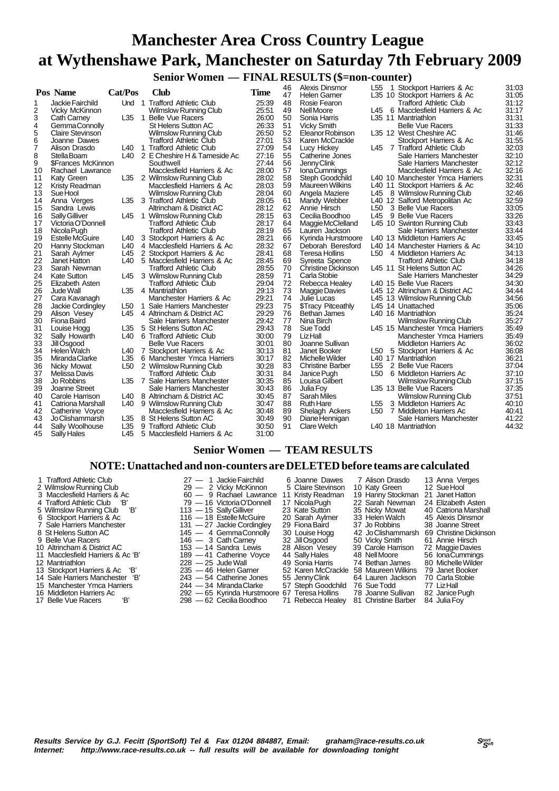# **Manchester Area Cross Country League at Wythenshawe Park, Manchester on Saturday 7th February 2009**

 **Senior Women — FINAL RESULTS (\$=non-counter)**

|    | Pos Name                  | Cat/Pos         | Club                          | <b>Time</b> | 46 | Alexis Dinsmor            | L <sub>55</sub> | 1 Stockport Harriers & Ac       | 31:03 |
|----|---------------------------|-----------------|-------------------------------|-------------|----|---------------------------|-----------------|---------------------------------|-------|
|    |                           |                 |                               |             | 47 | <b>Helen Garner</b>       |                 | L35 10 Stockport Harriers & Ac  | 31:05 |
| 1  | Jackie Fairchild          |                 | Und 1 Trafford Athletic Club  | 25:39       | 48 | Rosie Fearon              |                 | <b>Trafford Athletic Club</b>   | 31:12 |
| 2  | Vicky McKinnon            |                 | <b>Wilmslow Running Club</b>  | 25:51       | 49 | Nell Moore                | L45             | 6 Macclesfield Harriers & Ac    | 31:17 |
| 3  | <b>Cath Carney</b>        | L35             | 1 Belle Vue Racers            | 26:00       | 50 | Sonia Harris              |                 | L35 11 Mantriathlon             | 31:31 |
| 4  | Gemma Connolly            |                 | <b>St Helens Sutton AC</b>    | 26:33       | 51 | <b>Vicky Smith</b>        |                 | <b>Belle Vue Racers</b>         | 31:33 |
| 5  | Claire Stevinson          |                 | <b>Wilmslow Running Club</b>  | 26:50       | 52 | Eleanor Robinson          |                 | L35 12 West Cheshire AC         | 31:46 |
| 6  | Joanne Dawes              |                 | Trafford Athletic Club        | 27:01       | 53 | Karen McCrackle           |                 | Stockport Harriers & Ac         | 31:55 |
| 7  | Alison Drasdo             | L40             | 1 Trafford Athletic Club      | 27:09       | 54 | Lucy Hickey               |                 | L45 7 Trafford Athletic Club    | 32:03 |
| 8  | Stella Boam               | L40             | 2 E Cheshire H & Tameside Ac  | 27:16       | 55 | Catherine Jones           |                 | Sale Harriers Manchester        | 32:10 |
| 9  | <b>\$Frances McKinnon</b> |                 | Southwell                     | 27:44       | 56 | Jenny Clink               |                 | Sale Harriers Manchester        | 32:12 |
| 10 | Rachael Lawrance          |                 | Macclesfield Harriers & Ac    | 28:00       | 57 | <b>IonaCummings</b>       |                 | Macclesfield Harriers & Ac      | 32:16 |
| 11 | Katy Green                | L35             | 2 Wilmslow Running Club       | 28:02       | 58 | Steph Goodchild           |                 | L40 10 Manchester Ymca Harriers | 32:31 |
| 12 | Kristy Readman            |                 | Macclesfield Harriers & Ac    | 28:03       | 59 | <b>Maureen Wilkins</b>    |                 | L40 11 Stockport Harriers & Ac  | 32:46 |
| 13 | Sue Hool                  |                 | <b>Wilmslow Running Club</b>  | 28:04       | 60 | Angela Maziere            | L45             | 8 Wilmslow Running Club         | 32:46 |
| 14 | Anna Verges               | L35             | 3 Trafford Athletic Club      | 28:05       | 61 | Mandy Webber              |                 | L40 12 Salford Metropolitan Ac  | 32:59 |
| 15 | Sandra Lewis              |                 | Altrincham & District AC      | 28:12       | 62 | Annie Hirsch              | L <sub>50</sub> | 3 Belle Vue Racers              | 33:05 |
| 16 | <b>Sally Gilliver</b>     | L45             | 1 Wilmslow Running Club       | 28:15       | 63 | Cecilia Boodhoo           | L45             | 9 Belle Vue Racers              | 33:26 |
| 17 | Victoria O'Donnell        |                 | <b>Trafford Athletic Club</b> | 28:17       | 64 | Maggie McClelland         |                 | L45 10 Swinton Running Club     | 33:43 |
| 18 | Nicola Pugh               |                 | Trafford Athletic Club        | 28:19       | 65 | Lauren Jackson            |                 | Sale Harriers Manchester        | 33:44 |
| 19 | <b>Estelle McGuire</b>    | L40             | 3 Stockport Harriers & Ac     | 28:21       | 66 | Kyrinda Hurstmoore        |                 | L40 13 Middleton Harriers Ac    | 33:45 |
| 20 | Hanny Stockman            | L40             | 4 Macclesfield Harriers & Ac  | 28:32       | 67 | Deborah Beresford         |                 | L40 14 Manchester Harriers & Ac | 34:10 |
| 21 | Sarah Aylmer              | L45             | 2 Stockport Harriers & Ac     | 28:41       | 68 | Teresa Hollins            |                 | L50 4 Middleton Harriers Ac     | 34:13 |
| 22 | Janet Hatton              | L40             | 5 Macclesfield Harriers & Ac  | 28:45       | 69 | Syreeta Spence            |                 | Trafford Athletic Club          | 34:18 |
| 23 | Sarah Newman              |                 | <b>Trafford Athletic Club</b> | 28:55       | 70 | Christine Dickinson       |                 | L45 11 St Helens Sutton AC      | 34:26 |
| 24 | <b>Kate Sutton</b>        | L45             | 3 Wilmslow Running Club       | 28:59       | 71 | Carla Stobie              |                 | Sale Harriers Manchester        | 34:29 |
| 25 | Elizabeth Asten           |                 | <b>Trafford Athletic Club</b> | 29:04       | 72 | Rebecca Healey            |                 | L40 15 Belle Vue Racers         | 34:30 |
| 26 | Jude Wall                 | L35             | 4 Mantriathlon                | 29:13       | 73 | Maggie Davies             |                 | L45 12 Altrincham & District AC | 34:44 |
| 27 | Cara Kavanagh             |                 | Manchester Harriers & Ac      | 29:21       | 74 | Julie Lucas               |                 | L45 13 Wilmslow Running Club    | 34:56 |
| 28 | Jackie Cordingley         | L <sub>50</sub> | 1 Sale Harriers Manchester    | 29:23       | 75 | <b>\$Tracy Pitceathly</b> |                 | L45 14 Unattached               | 35:06 |
| 29 | Alison Vesey              | L45             | 4 Altrincham & District AC    | 29:29       | 76 | Bethan James              |                 | L <sub>40</sub> 16 Mantriathlon | 35:24 |
| 30 | Fiona Baird               |                 | Sale Harriers Manchester      | 29:42       | 77 | Nina Birch                |                 | <b>Wilmslow Running Club</b>    | 35:27 |
| 31 | Louise Hogg               | L35             | 5 St Helens Sutton AC         | 29:43       | 78 | Sue Todd                  |                 | L45 15 Manchester Ymca Harriers | 35:49 |
| 32 | Sally Howarth             | L40             | 6 Trafford Athletic Club      | 30:00       | 79 | LizHall                   |                 | Manchester Ymca Harriers        | 35:49 |
| 33 | Jill Osgood               |                 | <b>Belle Vue Racers</b>       | 30:01       | 80 | Joanne Sullivan           |                 | <b>Middleton Harriers Ac</b>    | 36:02 |
| 34 | Helen Walch               | L40             | 7 Stockport Harriers & Ac     | 30:13       | 81 | Janet Booker              | L50             | 5 Stockport Harriers & Ac       | 36:08 |
| 35 | Miranda Clarke            | L35             | 6 Manchester Ymca Harriers    | 30:17       | 82 | Michelle Wilder           |                 | L40 17 Mantriathlon             | 36:21 |
| 36 | Nicky Mowat               | L <sub>50</sub> | 2 Wilmslow Running Club       | 30:28       | 83 | <b>Christine Barber</b>   | L <sub>55</sub> | 2 Belle Vue Racers              | 37:04 |
| 37 | Melissa Davis             |                 | Trafford Athletic Club        | 30:31       | 84 | Janice Pugh               | L <sub>50</sub> | 6 Middleton Harriers Ac         | 37:10 |
| 38 | Jo Robbins                | L35             | 7 Sale Harriers Manchester    | 30:35       | 85 | Louisa Gilbert            |                 | <b>Wilmslow Running Club</b>    | 37:15 |
| 39 | Joanne Street             |                 | Sale Harriers Manchester      | 30:43       | 86 | Julia Foy                 |                 | L35 13 Belle Vue Racers         | 37:35 |
| 40 | Carole Harrison           | L40             | 8 Altrincham & District AC    | 30:45       | 87 | <b>Sarah Miles</b>        |                 | Wilmslow Running Club           | 37:51 |
| 41 | Catriona Marshall         | L40             | 9 Wilmslow Running Club       | 30:47       | 88 | <b>Ruth Hare</b>          | L <sub>55</sub> | 3 Middleton Harriers Ac         | 40:10 |
| 42 | Catherine Voyce           |                 | Macclesfield Harriers & Ac    | 30:48       | 89 | Shelagh Ackers            | L <sub>50</sub> | 7 Middleton Harriers Ac         | 40:41 |
| 43 | Jo Clishammarsh           | L35             | 8 St Helens Sutton AC         | 30:49       | 90 | Diane Hennigan            |                 | Sale Harriers Manchester        | 41:22 |
| 44 | Sally Woolhouse           | L35             | 9 Trafford Athletic Club      | 30:50       | 91 | <b>Clare Welch</b>        |                 | L40 18 Mantriathlon             | 44:32 |
| 45 | <b>Sally Hales</b>        | L45             | 5 Macclesfield Harriers & Ac  | 31:00       |    |                           |                 |                                 |       |
|    |                           |                 |                               |             |    |                           |                 |                                 |       |

## **Senior Women — TEAM RESULTS**

#### **NOTE: Unattached and non-counters are DELETED before teams are calculated**

1 Trafford Athletic Club 27 — 1 Jackie Fairchild 6 Joanne Dawes 7 Alison Drasdo 13 Anna Verges<br>2 Wilmslow Running Club 29 — 2 Vicky McKinnon 5 Claire Stevinson 10 Katy Green 12 Sue Hool 2 Wilmslow Running Club 29 — 2 Vicky McKinnon 5 Claire Stevinson 10 Katy Green 12 Sue Hool<br>3 Macclesfield Harriers & Ac 60 — 9 Rachael Lawrance 11 Kristy Readman 19 Hanny Stockman 21 Janet Hatton<br>4 Trafford Athletic Club 1 3 Macclesfield Harriers & Ac 60 — 9 Rachael Lawrance 11 Kristy Readman 19 Hanny Stockman 21 Janet Hatton<br>4 Trafford Athletic Club 'B' 16 Yictoria O'Donnell 17 Nicola Pugh 22 Sarah Newman 24 Elizabeth Asten 5 Wilmslow Running Club 'B' 113 - 15 Sally Gilliver 23 Kate Sutton 35 Nicky Mowat 40 Catriona Marsh<br>6 Stockport Harriers & Ac 116 - 18 Estelle McGuire 20 Sarah Aylmer 33 Helen Walch 45 Alexis Dinsmor<br>7 Sale Harriers Manche Frances & Ac 116 — 18 Estelle McGuire 20 Sarah Aylmer 33 Helen Walch 45 Alexis Dinsmore<br>
Sale Harriers Manchester 131 — 27 Jackie Cordingley 29 Fiona Baird 37 Jo Robbins 38 Joanne Street 7 Sale Harriers Manchester 131 — 27 Jackie Cordingley 29 Fiona Baird 37 Jo Robbins 38 Joanne Street 8 St Helens Sutton AC 145 — 4 Gemma Connolly 30 Louise Hogg 42 Jo Clishammarsh 69 Christine Dick<br>9 Belle Vue Racers 146 — 3 Cath Carney 32 Jill Osgood 50 Vicky Smith 61 Annie Hirsch 10 Altrincham & District AC 153 — 14 Sandra Lewis 28 Alison Vesey 39 Carole Harrison 72 Maggie Davies 11 Macclesfield Harriers & Ac 'B' 189 — 41 Catherine Voyce 44 Sally Hales 48 Nell Moore 56 Iona Cummings<br>12 Mantriathlon 199 – 228 – 25 Jude Wall 49 Sonia Harris 74 Rethan James 80 Michelle Wilder 13 Stockport Harriers & Ac 'B' 235 — 46 Helen Garner 52 Karen McCrackle 58 Maureen Wilkins 79 Janet Booker 14 Sale Harriers Manchester 'B' 243 - 54 Catherine Jones 55 Jenny Clink 64 Lauren Jackson 70 Carla Stone 15 Manchester Ymca Harriers 244 - 34 Miranda Clarke 57 Steph Goodchild 76 Sue Todd 77 Liz Hall 15 Manchester Ymca Harriers 244 — 34 Miranda Clarke 57 Steph Goodchild 76 Sue Todd 77 Liz Hall<br>16 Middleton Harriers Ac 292 — 65 Kyrinda Hurstmoore 67 Teresa Hollins 78 Joanne Sullivan 82 Janice Pugh

4 Trafford Athletic Crub is a Trafford Athletic Club is a Trafford Athletic Club is a Trafford Club is character<br>Athletic Club is Carly Cilliver 23 Sate Sutton 25 Nicky Mowat 40 Catriona Marshall 146 — 3 Cath Carney 32 Jill Osgood 50 Vicky Smith 61 Annie Hirsch<br>153 — 14 Sandra Lewis 28 Alison Vesey 39 Carole Harrison 72 Maggie Davies 12 Mantriathlon 228 — 25 Jude Wall 49 Sonia Harris 74 Bethan James 80 Michelle Wilder 16 Middleton Harriers Ac 202 — 65 Kyrinda Hurstmoore 67 Teresa Hollins 78 Joanne Sullivan 82 Janice Pu<br>17 Belle Vue Racers 'B' 298 — 62 Cecilia Boodhoo 71 Rebecca Healey 81 Christine Barber 84 Julia Foy 298 — 62 Cecilia Boodhoo

- 
-